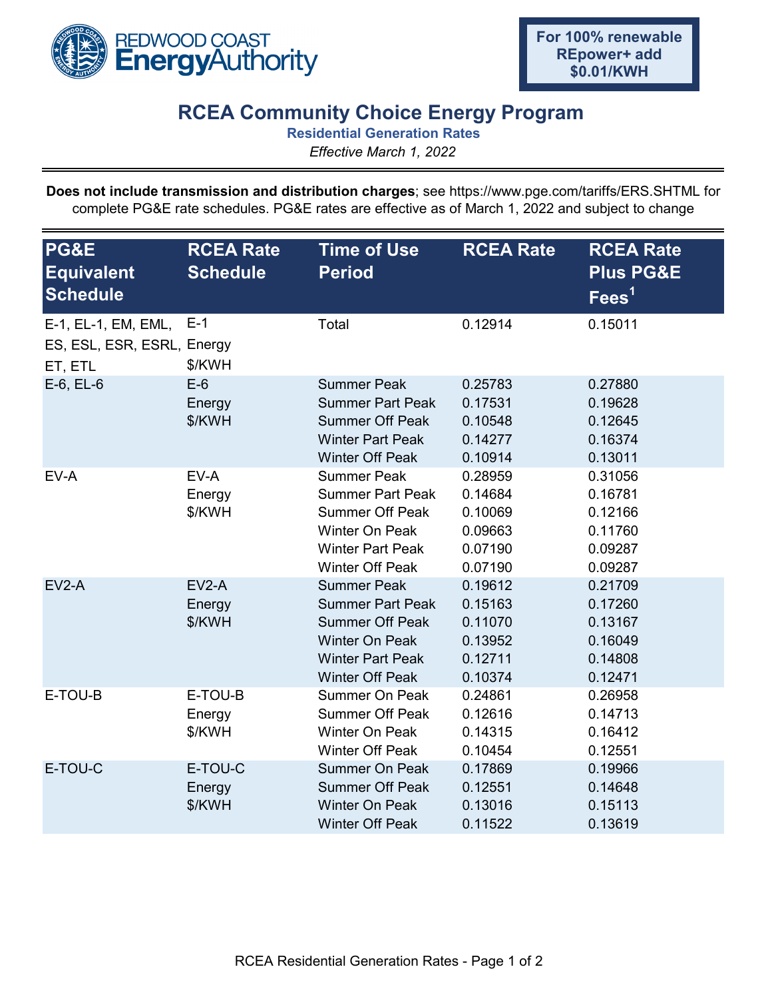

## **RCEA Community Choice Energy Program**

**Residential Generation Rates**

*Effective March 1, 2022*

**Does not include transmission and distribution charges**; see https://www.pge.com/tariffs/ERS.SHTML for complete PG&E rate schedules. PG&E rates are effective as of March 1, 2022 and subject to change

| PG&E<br><b>Equivalent</b><br><b>Schedule</b>                 | <b>RCEA Rate</b><br><b>Schedule</b> | <b>Time of Use</b><br><b>Period</b>                                                                                                                   | <b>RCEA Rate</b>                                               | <b>RCEA Rate</b><br><b>Plus PG&amp;E</b><br>Fees <sup>1</sup>  |
|--------------------------------------------------------------|-------------------------------------|-------------------------------------------------------------------------------------------------------------------------------------------------------|----------------------------------------------------------------|----------------------------------------------------------------|
| E-1, EL-1, EM, EML,<br>ES, ESL, ESR, ESRL, Energy<br>ET, ETL | $E-1$<br>\$/KWH                     | Total                                                                                                                                                 | 0.12914                                                        | 0.15011                                                        |
| $E-6$ , $EL-6$                                               | $E-6$<br>Energy<br>\$/KWH           | <b>Summer Peak</b><br><b>Summer Part Peak</b><br><b>Summer Off Peak</b><br><b>Winter Part Peak</b><br><b>Winter Off Peak</b>                          | 0.25783<br>0.17531<br>0.10548<br>0.14277<br>0.10914            | 0.27880<br>0.19628<br>0.12645<br>0.16374<br>0.13011            |
| EV-A                                                         | EV-A<br>Energy<br>\$/KWH            | <b>Summer Peak</b><br><b>Summer Part Peak</b><br><b>Summer Off Peak</b><br>Winter On Peak<br><b>Winter Part Peak</b><br><b>Winter Off Peak</b>        | 0.28959<br>0.14684<br>0.10069<br>0.09663<br>0.07190<br>0.07190 | 0.31056<br>0.16781<br>0.12166<br>0.11760<br>0.09287<br>0.09287 |
| $EV2-A$                                                      | $EV2-A$<br>Energy<br>\$/KWH         | <b>Summer Peak</b><br><b>Summer Part Peak</b><br><b>Summer Off Peak</b><br><b>Winter On Peak</b><br><b>Winter Part Peak</b><br><b>Winter Off Peak</b> | 0.19612<br>0.15163<br>0.11070<br>0.13952<br>0.12711<br>0.10374 | 0.21709<br>0.17260<br>0.13167<br>0.16049<br>0.14808<br>0.12471 |
| E-TOU-B                                                      | E-TOU-B<br>Energy<br>\$/KWH         | <b>Summer On Peak</b><br><b>Summer Off Peak</b><br>Winter On Peak<br><b>Winter Off Peak</b>                                                           | 0.24861<br>0.12616<br>0.14315<br>0.10454                       | 0.26958<br>0.14713<br>0.16412<br>0.12551                       |
| E-TOU-C                                                      | E-TOU-C<br>Energy<br>\$/KWH         | <b>Summer On Peak</b><br><b>Summer Off Peak</b><br><b>Winter On Peak</b><br><b>Winter Off Peak</b>                                                    | 0.17869<br>0.12551<br>0.13016<br>0.11522                       | 0.19966<br>0.14648<br>0.15113<br>0.13619                       |